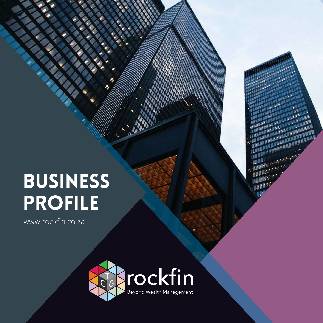# BUSINESS PROFILE

www.rockfin.co.za



**LEBE** 

画画 **TABLE** 

**THE REA THE** 

**BANK PROGRAMMENT** 

**REAL TANK WAR**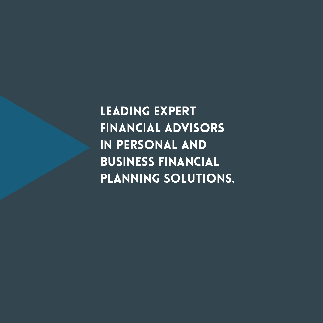Leading expert financial advisors in personal and business financial planning solutions.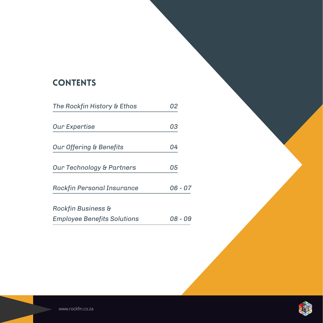# **CONTENTS**

| The Rockfin History & Ethos        | 02      |
|------------------------------------|---------|
|                                    |         |
| Our Expertise                      | 03      |
|                                    |         |
| Our Offering & Benefits            | 04      |
| Our Technology & Partners          | 05      |
| Rockfin Personal Insurance         | 06 - 07 |
| <b>Rockfin Business &amp;</b>      |         |
| <b>Employee Benefits Solutions</b> | 08 - 09 |

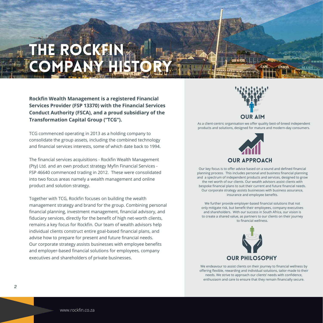# **HE ROCKFI** LOMP

**Rockfin Wealth Management is a registered Financial Services Provider (FSP 13370) with the Financial Services Conduct Authority (FSCA), and a proud subsidiary of the Transformation Capital Group ("TCG").**

TCG commenced operating in 2013 as a holding company to consolidate the group assets, including the combined technology and financial services interests, some of which date back to 1994.

The financial services acquisitions - Rockfin Wealth Management (Pty) Ltd. and an own product strategy Myfin Financial Services - FSP 46640 commenced trading in 2012. These were consolidated into two focus areas namely a wealth management and online product and solution strategy.

Together with TCG, Rockfin focuses on building the wealth management strategy and brand for the group. Combining personal financial planning, investment management, financial advisory, and fiduciary services, directly for the benefit of high net-worth clients, remains a key focus for Rockfin. Our team of wealth advisors help individual clients construct entire goal-based financial plans, and advise how to prepare for present and future financial needs. Our corporate strategy assists businesses with employee benefits and employer-based financial solutions for employees, company executives and shareholders of private businesses.

# OUR AIM

As a client-centric organisation we offer quality best-of-breed independent products and solutions, designed for mature and modern-day consumers.



Our key focus is to offer advice based on a sound and defined financial planning process. This includes personal and business financial planning and a spectrum of independent products and services, designed to grow the net worth of our clients. Our wealth advisors assist clients with bespoke financial plans to suit their current and future financial needs. Our corporate strategy assists businesses with business assurance, insurance and employee benefits.

We further provide employer-based financial solutions that not only mitigate risk, but benefit their employees, company executives and shareholders. With our success in South Africa, our vision is to create a shared value, as partners to our clients on their journey to financial wellness.



We endeavour to assist clients on their journey to financial wellness by offering flexible, rewarding and individual solutions, tailor-made to their needs. We strive to approach our clients' needs with confidence, enthusiasm and care to ensure that they remain financially secure.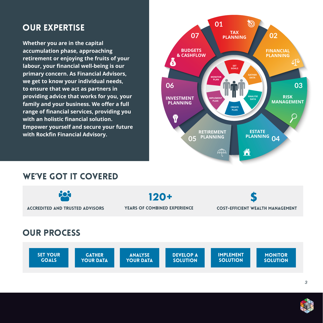**Whether you are in the capital accumulation phase, approaching retirement or enjoying the fruits of your labour, your financial well-being is our primary concern. As Financial Advisors, we get to know your individual needs, to ensure that we act as partners in providing advice that works for you, your family and your business. We offer a full range of financial services, providing you with an holistic financial solution. Empower yourself and secure your future with Rockfin Financial Advisory.**



# WE'VE GOT IT COVERED



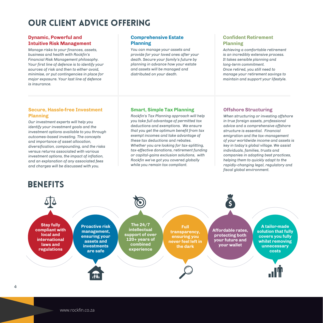# OUR CLIENT ADVICE OFFERING

#### **Dynamic, Powerful and Intuitive Risk Management**

*Manage risks to your finances, assets, business and health with Rockfin's Financial Risk Management philosophy. Your first line of defence is to identify your sources of risk and then to either avoid, minimise, or put contingencies in place for major exposure. Your last line of defence is insurance.*

#### **Comprehensive Estate Planning**

*You can manage your assets and provide for your loved ones after your death. Secure your family's future by planning in advance how your estate and assets will be managed and distributed on your death.*

#### **Confident Retirement Planning**

*Achieving a comfortable retirement is an incredibly extensive process. It takes sensible planning and long-term commitment. Once retired, you still need to manage your retirement savings to maintain and support your lifestyle.* 

#### **Secure, Hassle-free Investment Planning**

*Our investment experts will help you identify your investment goals and the investment options available to you through outcomes-based investing. The concepts and importance of asset allocation, diversification, compounding, and the risks versus returns associated with various investment options, the impact of inflation, and an explanation of any associated fees and charges will be discussed with you.*

#### **Smart, Simple Tax Planning**

*Rockfin's Tax Planning approach will help you take full advantage of permitted tax deductions and exemptions. We ensure that you get the optimum benefit from tax exempt incomes and take advantage of these tax deductions and rebates. Whether you are looking for tax-splitting, tax-effective donations, retirement funding or capital-gains exclusion solutions, with Rockfin we've got you covered globally while you remain tax compliant.*

#### **Offshore Structuring**

*When structuring or investing offshore in true foreign assets, professional advice and a comprehensive offshore structure is essential. Financial emigration and the tax-management of your worldwide income and assets is key in today's global village. We assist individuals, families, trusts and companies in adopting best practices, helping them to quickly adapt to the rapidly-changing legal, regulatory and fiscal global environment.*

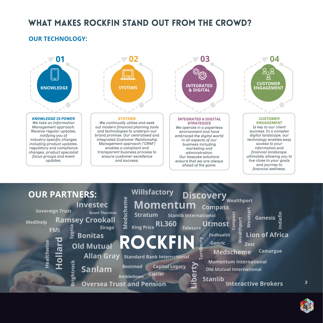# WHAT MAKES ROCKFIN STAND OUT FROM THE CROWD?

#### **OUR TECHNOLOGY:**







*3*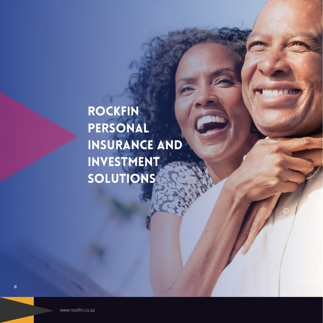# ROCKFIN PERSONAL INSURANCE AND INVESTMENT **SOLUTIONS**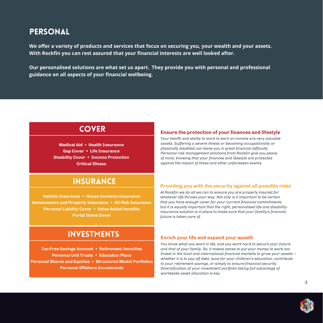## **PERSONAL**

**We offer a variety of products and services that focus on securing you, your wealth and your assets. With Rockfin you can rest assured that your financial interests are well looked after.** 

**Our personalised solutions are what set us apart. They provide you with personal and professional guidance on all aspects of your financial wellbeing.**

## **COVER**

**Medical Aid • Health Insurance Gap Cover • Life Insurance Disability Cover • Income Protection Critical Illness**

#### **Ensure the protection of your finances and lifestyle**

*Your health and ability to work to earn an income are very valuable assets. Suffering a severe illness or becoming occupationally or physically disabled can leave you in great financial difficulty. Personal risk management solutions from Rockfin give you peace of mind, knowing that your finances and lifestyle are protected against the impact of these and other unforeseen events.*

### **INSURANCE**

**Vehicle Insurance • House Contents Insurance Homeowners and Property Insurance • All Risk Insurance Personal Liability Cover • Value Added benefits Portal Items Cover**

## INVESTMENTS

**Tax-Free Savings Account • Retirement Annuities Personal Unit Trusts • Education Plans Personal Shares and Equities • Structured Model Portfolios Personal Offshore Investments**

#### **Providing you with the security against all possible risks**

*At Rockfin we do all we can to ensure you are properly insured for whatever life throws your way. Not only is it important to be certain that you have enough cover for your current financial commitments, but it is equally important that the right, personalised life and disabilityinsurance solution is in place to make sure that your familiy's financial future is taken care of.*

#### **Enrich your life and expand your wealth**

*You know what you want in life, and you work hard to secure your future and that of your family. So, it makes sense to put your money to work too. Invest in the local and international financial markets to grow your assets – whether it is to pay off debt, save for your children's education, contribute to your retirement savings, or simply to ensure financial security. Diversification of your investment portfolio taking full advantage of worldwide asset allocation is key.*

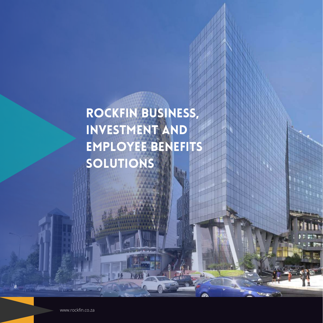# ROCKFIN BUSINESS, INVESTMENT AND EMPLOYEE BENEFITS SOLUTIONS

*8*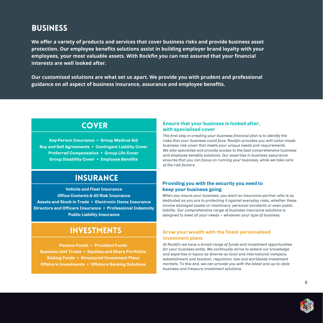# **BUSINESS**

**We offer a variety of products and services that cover business risks and provide business asset protection. Our employee benefits solutions assist in building employer brand loyalty with your employees, your most valuable assets. With Rockfin you can rest assured that your financial interests are well looked after.** 

**Our customised solutions are what set us apart. We provide you with prudent and professional guidance on all aspect of business insurance, assurance and employee benefits.**

## **COVER**

**Key-Person Insurance • Group Medical Aid Buy and Sell Agreements • Contingent Liability Cover Preferred Compensation • Group Life Cover Group Disability Cover • Employee Benefits**

# **INSURANCE**

**Vehicle and Fleet Insurance Office Contents & All Risk Insurance Assets and Stock in Trade • Electronic Items Insurance Directors and Officers Insurance • Professional Indemnity Public Liability Insurance**

# INVESTMENTS

**Pension Funds • Provident Funds Business Unit Trusts • Equities and Share Portfolios Sinking Funds • Structured Investment Plans Offshore Investments • Offshore Banking Solutions**

#### **Ensure that your business is looked after, with specialised cover**

*The first step in creating your business financial plan is to identify the risks that your business could face. Rockfin provides you with tailor-made business risk cover that meets your unique needs and requirements. We also specialise and provide access to the best comprehensive business and employee benefits solutions. Our expertise in business assurance ensures that you can focus on running your business, while we take care of the risk factors.*

#### **Providing you with the security you need to keep your business going**

*When you insure your business, you want an insurance partner who is as dedicated as you are to protecting it against everyday risks, whether these involve damaged assets or machinery, personal accidents or even public liability. Our comprehensive range of business insurance solutions is designed to meet all your needs – whatever your type of business.*

#### **Grow your wealth with the finest personalised investment plans**

*At Rockfin we have a broad range of funds and investment opportunities for your business entity. We continually strive to extend our knowledge and expertise in topics as diverse as local and international company establishment and taxation, regulation, law and worldwide investment markets. To this end, we can provide you with the latest and up-to-date business and treasury investment solutions.*